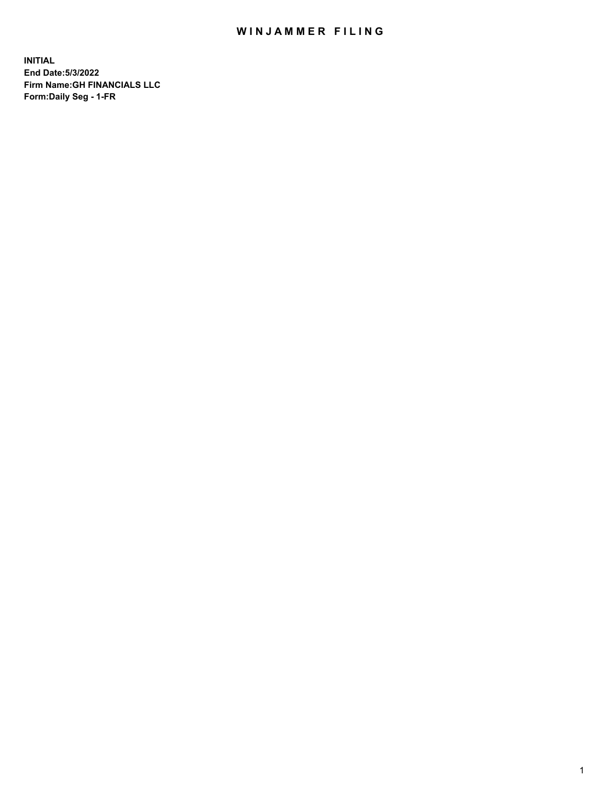## WIN JAMMER FILING

**INITIAL End Date:5/3/2022 Firm Name:GH FINANCIALS LLC Form:Daily Seg - 1-FR**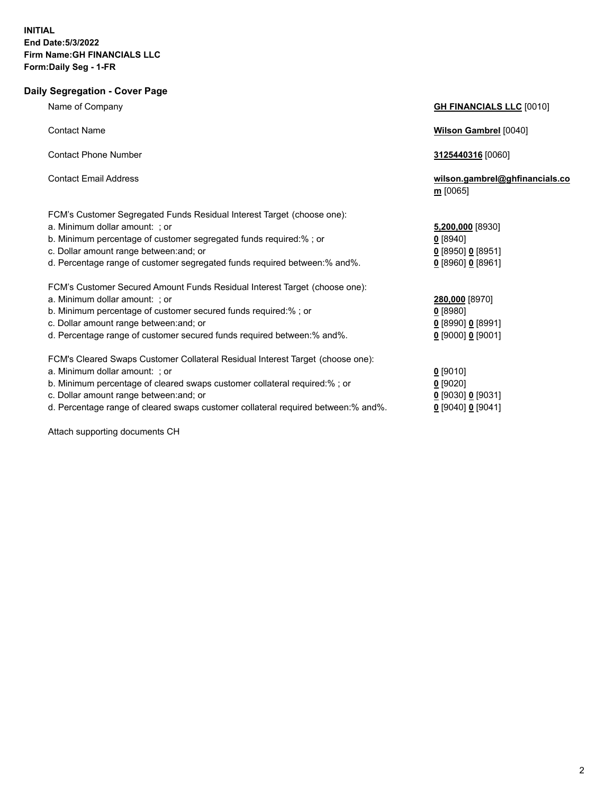## **Daily Segregation - Cover Page**

| Name of Company                                                                | <b>GH FINANCIALS LLC [0010]</b>              |
|--------------------------------------------------------------------------------|----------------------------------------------|
| <b>Contact Name</b>                                                            | <b>Wilson Gambrel</b> [0040]                 |
| <b>Contact Phone Number</b>                                                    | 3125440316 [0060]                            |
| <b>Contact Email Address</b>                                                   | wilson.gambrel@ghfinancials.co<br>$m$ [0065] |
| FCM's Customer Segregated Funds Residual Interest Target (choose one):         |                                              |
| a. Minimum dollar amount: ; or                                                 | 5,200,000 [8930]                             |
| b. Minimum percentage of customer segregated funds required:%; or              | $0$ [8940]                                   |
| c. Dollar amount range between: and; or                                        | $0$ [8950] 0 [8951]                          |
| d. Percentage range of customer segregated funds required between:% and%.      | 0 [8960] 0 [8961]                            |
| FCM's Customer Secured Amount Funds Residual Interest Target (choose one):     |                                              |
| a. Minimum dollar amount: ; or                                                 | 280,000 [8970]                               |
| b. Minimum percentage of customer secured funds required:%; or                 | $0$ [8980]                                   |
| c. Dollar amount range between: and; or                                        | 0 [8990] 0 [8991]                            |
| d. Percentage range of customer secured funds required between: % and %.       | $0$ [9000] 0 [9001]                          |
| FCM's Cleared Swaps Customer Collateral Residual Interest Target (choose one): |                                              |
| a. Minimum dollar amount: ; or                                                 | $0$ [9010]                                   |
| b. Minimum percentage of cleared swaps customer collateral required:% ; or     | $0$ [9020]                                   |
| c. Dollar amount range between: and; or                                        | $0$ [9030] $0$ [9031]                        |
|                                                                                |                                              |

d. Percentage range of cleared swaps customer collateral required between:% and%. **0** [9040] **0** [9041]

Attach supporting documents CH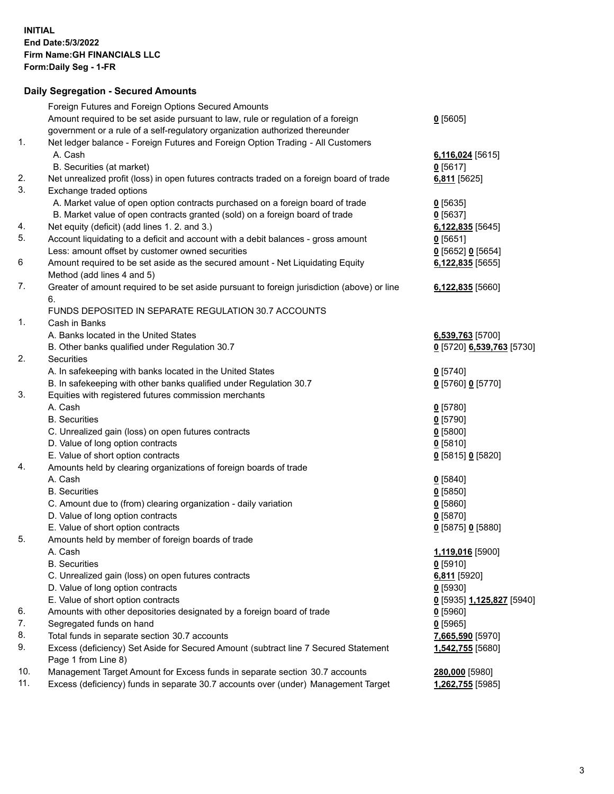## **Daily Segregation - Secured Amounts**

|     | Foreign Futures and Foreign Options Secured Amounts                                                        |                                  |
|-----|------------------------------------------------------------------------------------------------------------|----------------------------------|
|     | Amount required to be set aside pursuant to law, rule or regulation of a foreign                           | $0$ [5605]                       |
|     | government or a rule of a self-regulatory organization authorized thereunder                               |                                  |
| 1.  | Net ledger balance - Foreign Futures and Foreign Option Trading - All Customers                            |                                  |
|     | A. Cash                                                                                                    | 6,116,024 [5615]                 |
|     | B. Securities (at market)                                                                                  | $0$ [5617]                       |
| 2.  | Net unrealized profit (loss) in open futures contracts traded on a foreign board of trade                  | 6,811 [5625]                     |
| 3.  | Exchange traded options                                                                                    |                                  |
|     | A. Market value of open option contracts purchased on a foreign board of trade                             | $0$ [5635]                       |
|     | B. Market value of open contracts granted (sold) on a foreign board of trade                               | $0$ [5637]                       |
| 4.  | Net equity (deficit) (add lines 1. 2. and 3.)                                                              | 6,122,835 [5645]                 |
| 5.  | Account liquidating to a deficit and account with a debit balances - gross amount                          | $0$ [5651]                       |
|     | Less: amount offset by customer owned securities                                                           | $0$ [5652] $0$ [5654]            |
| 6   | Amount required to be set aside as the secured amount - Net Liquidating Equity                             | 6,122,835 [5655]                 |
|     | Method (add lines 4 and 5)                                                                                 |                                  |
| 7.  | Greater of amount required to be set aside pursuant to foreign jurisdiction (above) or line                | 6,122,835 [5660]                 |
|     | 6.                                                                                                         |                                  |
|     | FUNDS DEPOSITED IN SEPARATE REGULATION 30.7 ACCOUNTS                                                       |                                  |
| 1.  | Cash in Banks                                                                                              |                                  |
|     | A. Banks located in the United States                                                                      | 6,539,763 [5700]                 |
|     | B. Other banks qualified under Regulation 30.7                                                             | 0 [5720] 6,539,763 [5730]        |
| 2.  | Securities                                                                                                 |                                  |
|     | A. In safekeeping with banks located in the United States                                                  | $0$ [5740]                       |
|     | B. In safekeeping with other banks qualified under Regulation 30.7                                         | $0$ [5760] $0$ [5770]            |
| 3.  | Equities with registered futures commission merchants                                                      |                                  |
|     | A. Cash                                                                                                    | $0$ [5780]                       |
|     | <b>B.</b> Securities                                                                                       | $0$ [5790]                       |
|     | C. Unrealized gain (loss) on open futures contracts                                                        | $0$ [5800]                       |
|     | D. Value of long option contracts                                                                          | $0$ [5810]                       |
|     |                                                                                                            |                                  |
| 4.  | E. Value of short option contracts                                                                         | 0 [5815] 0 [5820]                |
|     | Amounts held by clearing organizations of foreign boards of trade                                          |                                  |
|     | A. Cash                                                                                                    | 0[5840]                          |
|     | <b>B.</b> Securities                                                                                       | $0$ [5850]                       |
|     | C. Amount due to (from) clearing organization - daily variation                                            | $0$ [5860]                       |
|     | D. Value of long option contracts                                                                          | $0$ [5870]                       |
|     | E. Value of short option contracts                                                                         | 0 [5875] 0 [5880]                |
| 5.  | Amounts held by member of foreign boards of trade                                                          |                                  |
|     | A. Cash                                                                                                    | 1,119,016 [5900]                 |
|     | <b>B.</b> Securities                                                                                       | $0$ [5910]                       |
|     | C. Unrealized gain (loss) on open futures contracts                                                        | 6,811 [5920]                     |
|     | D. Value of long option contracts                                                                          | $0$ [5930]                       |
|     | E. Value of short option contracts                                                                         | <u>0</u> [5935] 1,125,827 [5940] |
| 6.  | Amounts with other depositories designated by a foreign board of trade                                     | $0$ [5960]                       |
| 7.  | Segregated funds on hand                                                                                   | $0$ [5965]                       |
| 8.  | Total funds in separate section 30.7 accounts                                                              | 7,665,590 [5970]                 |
| 9.  | Excess (deficiency) Set Aside for Secured Amount (subtract line 7 Secured Statement<br>Page 1 from Line 8) | 1,542,755 [5680]                 |
| 10. | Management Target Amount for Excess funds in separate section 30.7 accounts                                | 280,000 [5980]                   |
| 11. | Excess (deficiency) funds in separate 30.7 accounts over (under) Management Target                         | 1,262,755 [5985]                 |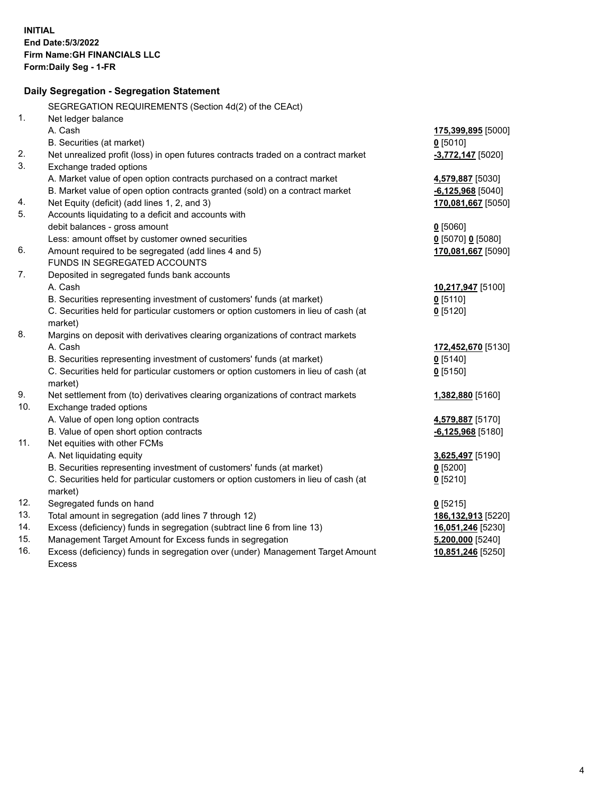|     | Daily Segregation - Segregation Statement                                           |                     |
|-----|-------------------------------------------------------------------------------------|---------------------|
|     | SEGREGATION REQUIREMENTS (Section 4d(2) of the CEAct)                               |                     |
| 1.  | Net ledger balance                                                                  |                     |
|     | A. Cash                                                                             | 175,399,895 [5000]  |
|     | B. Securities (at market)                                                           | $0$ [5010]          |
| 2.  | Net unrealized profit (loss) in open futures contracts traded on a contract market  | $-3,772,147$ [5020] |
| 3.  | Exchange traded options                                                             |                     |
|     | A. Market value of open option contracts purchased on a contract market             | 4,579,887 [5030]    |
|     | B. Market value of open option contracts granted (sold) on a contract market        | $-6,125,968$ [5040] |
| 4.  | Net Equity (deficit) (add lines 1, 2, and 3)                                        | 170,081,667 [5050]  |
| 5.  | Accounts liquidating to a deficit and accounts with                                 |                     |
|     | debit balances - gross amount                                                       | $0$ [5060]          |
|     | Less: amount offset by customer owned securities                                    | $0$ [5070] 0 [5080] |
| 6.  | Amount required to be segregated (add lines 4 and 5)                                | 170,081,667 [5090]  |
|     | FUNDS IN SEGREGATED ACCOUNTS                                                        |                     |
| 7.  | Deposited in segregated funds bank accounts                                         |                     |
|     | A. Cash                                                                             | 10,217,947 [5100]   |
|     | B. Securities representing investment of customers' funds (at market)               | $0$ [5110]          |
|     | C. Securities held for particular customers or option customers in lieu of cash (at | $0$ [5120]          |
|     | market)                                                                             |                     |
| 8.  | Margins on deposit with derivatives clearing organizations of contract markets      |                     |
|     | A. Cash                                                                             | 172,452,670 [5130]  |
|     | B. Securities representing investment of customers' funds (at market)               | $0$ [5140]          |
|     | C. Securities held for particular customers or option customers in lieu of cash (at | $0$ [5150]          |
|     | market)                                                                             |                     |
| 9.  | Net settlement from (to) derivatives clearing organizations of contract markets     | 1,382,880 [5160]    |
| 10. | Exchange traded options                                                             |                     |
|     | A. Value of open long option contracts                                              | 4,579,887 [5170]    |
|     | B. Value of open short option contracts                                             | $-6,125,968$ [5180] |
| 11. | Net equities with other FCMs                                                        |                     |
|     | A. Net liquidating equity                                                           | 3,625,497 [5190]    |
|     | B. Securities representing investment of customers' funds (at market)               | $0$ [5200]          |
|     | C. Securities held for particular customers or option customers in lieu of cash (at | $0$ [5210]          |
|     | market)                                                                             |                     |
| 12. | Segregated funds on hand                                                            | $0$ [5215]          |
| 13. | Total amount in segregation (add lines 7 through 12)                                | 186,132,913 [5220]  |
| 14. | Excess (deficiency) funds in segregation (subtract line 6 from line 13)             | 16,051,246 [5230]   |
| 15. | Management Target Amount for Excess funds in segregation                            | $5,200,000$ [5240]  |
| 16. | Excess (deficiency) funds in segregation over (under) Management Target Amount      | 10,851,246 [5250]   |
|     | <b>Excess</b>                                                                       |                     |